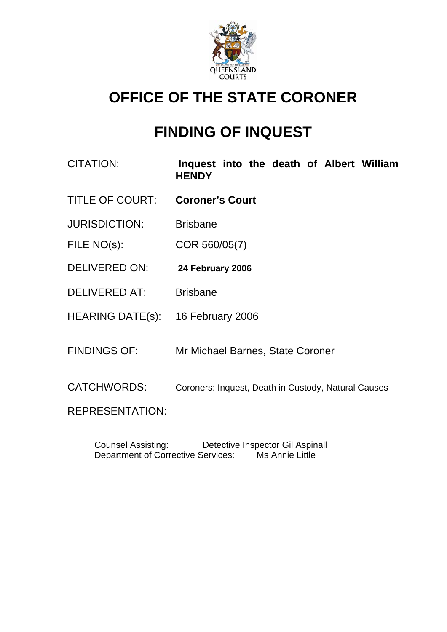

# **OFFICE OF THE STATE CORONER**

# **FINDING OF INQUEST**

- CITATION: **Inquest into the death of Albert William HENDY**
- TITLE OF COURT: **Coroner's Court**
- JURISDICTION: Brisbane
- FILE NO(s): COR 560/05(7)
- DELIVERED ON: **24 February 2006**
- DELIVERED AT: Brisbane
- HEARING DATE(s): 16 February 2006
- FINDINGS OF: Mr Michael Barnes, State Coroner
- CATCHWORDS: Coroners: Inquest, Death in Custody, Natural Causes

REPRESENTATION:

 Counsel Assisting: Detective Inspector Gil Aspinall Department of Corrective Services: Ms Annie Little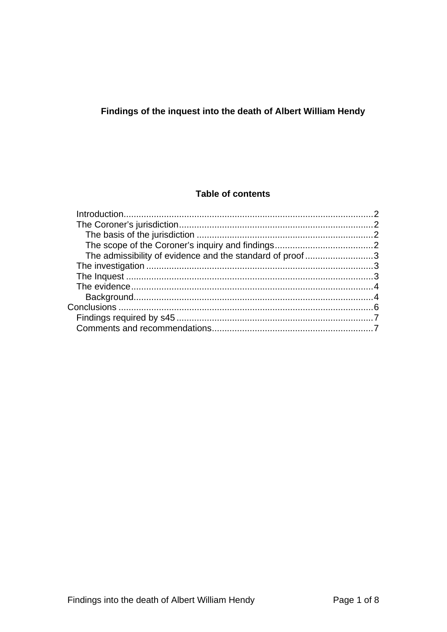# Findings of the inquest into the death of Albert William Hendy

## **Table of contents**

| The admissibility of evidence and the standard of proof3 |  |
|----------------------------------------------------------|--|
|                                                          |  |
|                                                          |  |
|                                                          |  |
|                                                          |  |
|                                                          |  |
|                                                          |  |
|                                                          |  |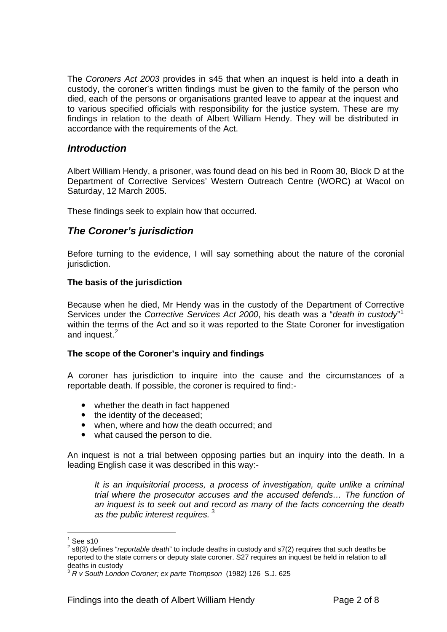<span id="page-2-0"></span>The *Coroners Act 2003* provides in s45 that when an inquest is held into a death in custody, the coroner's written findings must be given to the family of the person who died, each of the persons or organisations granted leave to appear at the inquest and to various specified officials with responsibility for the justice system. These are my findings in relation to the death of Albert William Hendy. They will be distributed in accordance with the requirements of the Act.

## *Introduction*

Albert William Hendy, a prisoner, was found dead on his bed in Room 30, Block D at the Department of Corrective Services' Western Outreach Centre (WORC) at Wacol on Saturday, 12 March 2005.

These findings seek to explain how that occurred.

## *The Coroner's jurisdiction*

Before turning to the evidence, I will say something about the nature of the coronial jurisdiction.

#### **The basis of the jurisdiction**

Because when he died, Mr Hendy was in the custody of the Department of Corrective Services under the *Corrective Services Act 2000*, his death was a "*death in custody*" [1](#page-2-1) within the terms of the Act and so it was reported to the State Coroner for investigation and inquest.<sup>[2](#page-2-2)</sup>

#### **The scope of the Coroner's inquiry and findings**

A coroner has jurisdiction to inquire into the cause and the circumstances of a reportable death. If possible, the coroner is required to find:-

- whether the death in fact happened
- $\bullet$  the identity of the deceased;
- when, where and how the death occurred; and
- what caused the person to die.

An inquest is not a trial between opposing parties but an inquiry into the death. In a leading English case it was described in this way:-

*It is an inquisitorial process, a process of investigation, quite unlike a criminal trial where the prosecutor accuses and the accused defends… The function of an inquest is to seek out and record as many of the facts concerning the death as the public interest requires.* [3](#page-2-3)

l

 $1$  See s10

<span id="page-2-2"></span><span id="page-2-1"></span><sup>2</sup> s8(3) defines "*reportable death*" to include deaths in custody and s7(2) requires that such deaths be reported to the state corners or deputy state coroner. S27 requires an inquest be held in relation to all deaths in custody

<span id="page-2-3"></span><sup>3</sup> *R v South London Coroner; ex parte Thompson* (1982) 126 S.J. 625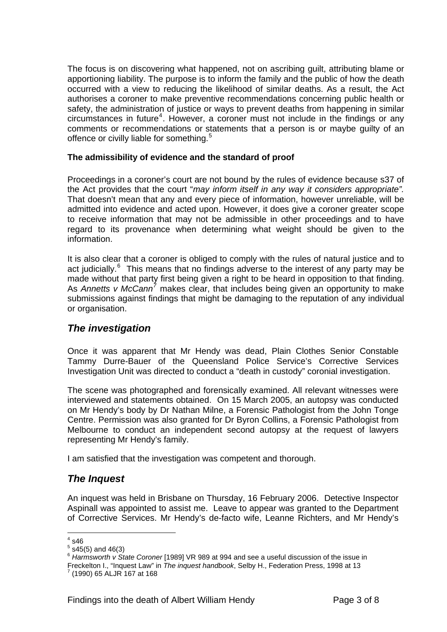<span id="page-3-0"></span>The focus is on discovering what happened, not on ascribing guilt, attributing blame or apportioning liability. The purpose is to inform the family and the public of how the death occurred with a view to reducing the likelihood of similar deaths. As a result, the Act authorises a coroner to make preventive recommendations concerning public health or safety, the administration of justice or ways to prevent deaths from happening in similar circumstances in future<sup>[4](#page-3-1)</sup>. However, a coroner must not include in the findings or any comments or recommendations or statements that a person is or maybe guilty of an offence or civilly liable for something.<sup>[5](#page-3-2)</sup>

### **The admissibility of evidence and the standard of proof**

Proceedings in a coroner's court are not bound by the rules of evidence because s37 of the Act provides that the court "*may inform itself in any way it considers appropriate".*  That doesn't mean that any and every piece of information, however unreliable, will be admitted into evidence and acted upon. However, it does give a coroner greater scope to receive information that may not be admissible in other proceedings and to have regard to its provenance when determining what weight should be given to the information.

It is also clear that a coroner is obliged to comply with the rules of natural justice and to act judicially.<sup>[6](#page-3-3)</sup> This means that no findings adverse to the interest of any party may be made without that party first being given a right to be heard in opposition to that finding. As Annetts v McCann<sup>[7](#page-3-4)</sup> makes clear, that includes being given an opportunity to make submissions against findings that might be damaging to the reputation of any individual or organisation.

## *The investigation*

Once it was apparent that Mr Hendy was dead, Plain Clothes Senior Constable Tammy Durre-Bauer of the Queensland Police Service's Corrective Services Investigation Unit was directed to conduct a "death in custody" coronial investigation.

The scene was photographed and forensically examined. All relevant witnesses were interviewed and statements obtained. On 15 March 2005, an autopsy was conducted on Mr Hendy's body by Dr Nathan Milne, a Forensic Pathologist from the John Tonge Centre. Permission was also granted for Dr Byron Collins, a Forensic Pathologist from Melbourne to conduct an independent second autopsy at the request of lawyers representing Mr Hendy's family.

I am satisfied that the investigation was competent and thorough.

## *The Inquest*

An inquest was held in Brisbane on Thursday, 16 February 2006. Detective Inspector Aspinall was appointed to assist me. Leave to appear was granted to the Department of Corrective Services. Mr Hendy's de-facto wife, Leanne Richters, and Mr Hendy's

l

 $4^4$  s46

<span id="page-3-2"></span><span id="page-3-1"></span> $5$  s45(5) and 46(3)

<span id="page-3-3"></span><sup>6</sup> *Harmsworth v State Coroner* [1989] VR 989 at 994 and see a useful discussion of the issue in

<span id="page-3-4"></span>Freckelton I., "Inquest Law" in *The inquest handbook*, Selby H., Federation Press, 1998 at 13 7

 <sup>(1990) 65</sup> ALJR 167 at 168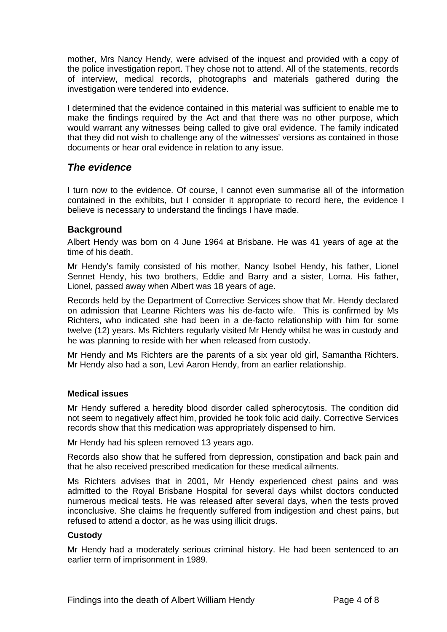<span id="page-4-0"></span>mother, Mrs Nancy Hendy, were advised of the inquest and provided with a copy of the police investigation report. They chose not to attend. All of the statements, records of interview, medical records, photographs and materials gathered during the investigation were tendered into evidence.

I determined that the evidence contained in this material was sufficient to enable me to make the findings required by the Act and that there was no other purpose, which would warrant any witnesses being called to give oral evidence. The family indicated that they did not wish to challenge any of the witnesses' versions as contained in those documents or hear oral evidence in relation to any issue.

## *The evidence*

I turn now to the evidence. Of course, I cannot even summarise all of the information contained in the exhibits, but I consider it appropriate to record here, the evidence I believe is necessary to understand the findings I have made.

## **Background**

Albert Hendy was born on 4 June 1964 at Brisbane. He was 41 years of age at the time of his death.

Mr Hendy's family consisted of his mother, Nancy Isobel Hendy, his father, Lionel Sennet Hendy, his two brothers, Eddie and Barry and a sister, Lorna. His father, Lionel, passed away when Albert was 18 years of age.

Records held by the Department of Corrective Services show that Mr. Hendy declared on admission that Leanne Richters was his de-facto wife. This is confirmed by Ms Richters, who indicated she had been in a de-facto relationship with him for some twelve (12) years. Ms Richters regularly visited Mr Hendy whilst he was in custody and he was planning to reside with her when released from custody.

Mr Hendy and Ms Richters are the parents of a six year old girl, Samantha Richters. Mr Hendy also had a son, Levi Aaron Hendy, from an earlier relationship.

#### **Medical issues**

Mr Hendy suffered a heredity blood disorder called spherocytosis. The condition did not seem to negatively affect him, provided he took folic acid daily. Corrective Services records show that this medication was appropriately dispensed to him.

Mr Hendy had his spleen removed 13 years ago.

Records also show that he suffered from depression, constipation and back pain and that he also received prescribed medication for these medical ailments.

Ms Richters advises that in 2001, Mr Hendy experienced chest pains and was admitted to the Royal Brisbane Hospital for several days whilst doctors conducted numerous medical tests. He was released after several days, when the tests proved inconclusive. She claims he frequently suffered from indigestion and chest pains, but refused to attend a doctor, as he was using illicit drugs.

#### **Custody**

Mr Hendy had a moderately serious criminal history. He had been sentenced to an earlier term of imprisonment in 1989.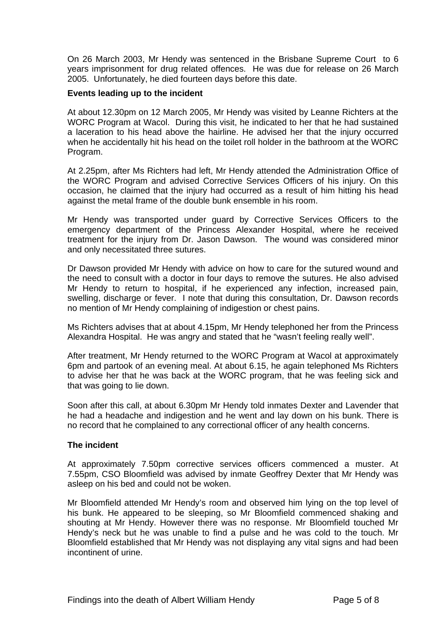On 26 March 2003, Mr Hendy was sentenced in the Brisbane Supreme Court to 6 years imprisonment for drug related offences. He was due for release on 26 March 2005. Unfortunately, he died fourteen days before this date.

#### **Events leading up to the incident**

At about 12.30pm on 12 March 2005, Mr Hendy was visited by Leanne Richters at the WORC Program at Wacol. During this visit, he indicated to her that he had sustained a laceration to his head above the hairline. He advised her that the injury occurred when he accidentally hit his head on the toilet roll holder in the bathroom at the WORC Program.

At 2.25pm, after Ms Richters had left, Mr Hendy attended the Administration Office of the WORC Program and advised Corrective Services Officers of his injury. On this occasion, he claimed that the injury had occurred as a result of him hitting his head against the metal frame of the double bunk ensemble in his room.

Mr Hendy was transported under guard by Corrective Services Officers to the emergency department of the Princess Alexander Hospital, where he received treatment for the injury from Dr. Jason Dawson. The wound was considered minor and only necessitated three sutures.

Dr Dawson provided Mr Hendy with advice on how to care for the sutured wound and the need to consult with a doctor in four days to remove the sutures. He also advised Mr Hendy to return to hospital, if he experienced any infection, increased pain, swelling, discharge or fever. I note that during this consultation, Dr. Dawson records no mention of Mr Hendy complaining of indigestion or chest pains.

Ms Richters advises that at about 4.15pm, Mr Hendy telephoned her from the Princess Alexandra Hospital. He was angry and stated that he "wasn't feeling really well".

After treatment, Mr Hendy returned to the WORC Program at Wacol at approximately 6pm and partook of an evening meal. At about 6.15, he again telephoned Ms Richters to advise her that he was back at the WORC program, that he was feeling sick and that was going to lie down.

Soon after this call, at about 6.30pm Mr Hendy told inmates Dexter and Lavender that he had a headache and indigestion and he went and lay down on his bunk. There is no record that he complained to any correctional officer of any health concerns.

#### **The incident**

At approximately 7.50pm corrective services officers commenced a muster. At 7.55pm, CSO Bloomfield was advised by inmate Geoffrey Dexter that Mr Hendy was asleep on his bed and could not be woken.

Mr Bloomfield attended Mr Hendy's room and observed him lying on the top level of his bunk. He appeared to be sleeping, so Mr Bloomfield commenced shaking and shouting at Mr Hendy. However there was no response. Mr Bloomfield touched Mr Hendy's neck but he was unable to find a pulse and he was cold to the touch. Mr Bloomfield established that Mr Hendy was not displaying any vital signs and had been incontinent of urine.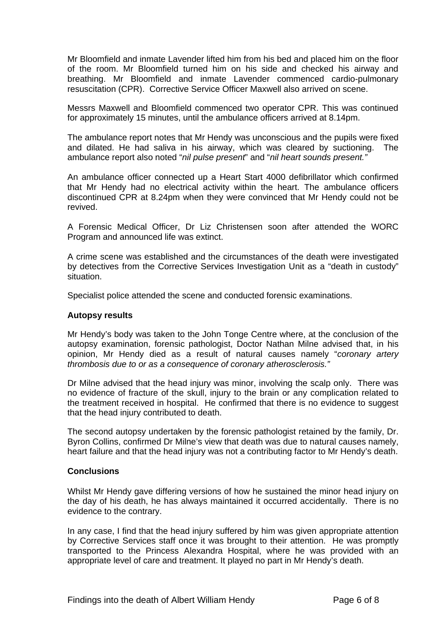<span id="page-6-0"></span>Mr Bloomfield and inmate Lavender lifted him from his bed and placed him on the floor of the room. Mr Bloomfield turned him on his side and checked his airway and breathing. Mr Bloomfield and inmate Lavender commenced cardio-pulmonary resuscitation (CPR). Corrective Service Officer Maxwell also arrived on scene.

Messrs Maxwell and Bloomfield commenced two operator CPR. This was continued for approximately 15 minutes, until the ambulance officers arrived at 8.14pm.

The ambulance report notes that Mr Hendy was unconscious and the pupils were fixed and dilated. He had saliva in his airway, which was cleared by suctioning. The ambulance report also noted "*nil pulse present*" and "*nil heart sounds present."* 

An ambulance officer connected up a Heart Start 4000 defibrillator which confirmed that Mr Hendy had no electrical activity within the heart. The ambulance officers discontinued CPR at 8.24pm when they were convinced that Mr Hendy could not be revived.

A Forensic Medical Officer, Dr Liz Christensen soon after attended the WORC Program and announced life was extinct.

A crime scene was established and the circumstances of the death were investigated by detectives from the Corrective Services Investigation Unit as a "death in custody" situation.

Specialist police attended the scene and conducted forensic examinations.

#### **Autopsy results**

Mr Hendy's body was taken to the John Tonge Centre where, at the conclusion of the autopsy examination, forensic pathologist, Doctor Nathan Milne advised that, in his opinion, Mr Hendy died as a result of natural causes namely "*coronary artery thrombosis due to or as a consequence of coronary atherosclerosis."* 

Dr Milne advised that the head injury was minor, involving the scalp only. There was no evidence of fracture of the skull, injury to the brain or any complication related to the treatment received in hospital. He confirmed that there is no evidence to suggest that the head injury contributed to death.

The second autopsy undertaken by the forensic pathologist retained by the family, Dr. Byron Collins, confirmed Dr Milne's view that death was due to natural causes namely, heart failure and that the head injury was not a contributing factor to Mr Hendy's death.

#### **Conclusions**

Whilst Mr Hendy gave differing versions of how he sustained the minor head injury on the day of his death, he has always maintained it occurred accidentally. There is no evidence to the contrary.

In any case, I find that the head injury suffered by him was given appropriate attention by Corrective Services staff once it was brought to their attention. He was promptly transported to the Princess Alexandra Hospital, where he was provided with an appropriate level of care and treatment. It played no part in Mr Hendy's death.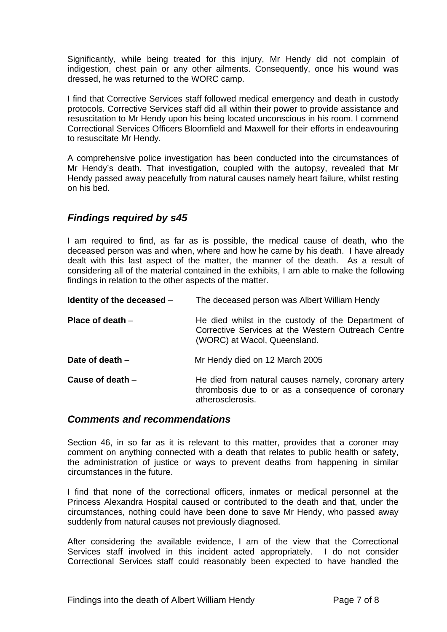<span id="page-7-0"></span>Significantly, while being treated for this injury, Mr Hendy did not complain of indigestion, chest pain or any other ailments. Consequently, once his wound was dressed, he was returned to the WORC camp.

I find that Corrective Services staff followed medical emergency and death in custody protocols. Corrective Services staff did all within their power to provide assistance and resuscitation to Mr Hendy upon his being located unconscious in his room. I commend Correctional Services Officers Bloomfield and Maxwell for their efforts in endeavouring to resuscitate Mr Hendy.

A comprehensive police investigation has been conducted into the circumstances of Mr Hendy's death. That investigation, coupled with the autopsy, revealed that Mr Hendy passed away peacefully from natural causes namely heart failure, whilst resting on his bed.

## *Findings required by s45*

I am required to find, as far as is possible, the medical cause of death, who the deceased person was and when, where and how he came by his death. I have already dealt with this last aspect of the matter, the manner of the death. As a result of considering all of the material contained in the exhibits, I am able to make the following findings in relation to the other aspects of the matter.

| Identity of the deceased - | The deceased person was Albert William Hendy                                                                                             |
|----------------------------|------------------------------------------------------------------------------------------------------------------------------------------|
| Place of death $-$         | He died whilst in the custody of the Department of<br>Corrective Services at the Western Outreach Centre<br>(WORC) at Wacol, Queensland. |
| Date of death $-$          | Mr Hendy died on 12 March 2005                                                                                                           |
| Cause of death $-$         | He died from natural causes namely, coronary artery<br>thrombosis due to or as a consequence of coronary<br>atherosclerosis.             |

## *Comments and recommendations*

Section 46, in so far as it is relevant to this matter, provides that a coroner may comment on anything connected with a death that relates to public health or safety, the administration of justice or ways to prevent deaths from happening in similar circumstances in the future.

I find that none of the correctional officers, inmates or medical personnel at the Princess Alexandra Hospital caused or contributed to the death and that, under the circumstances, nothing could have been done to save Mr Hendy, who passed away suddenly from natural causes not previously diagnosed.

After considering the available evidence, I am of the view that the Correctional Services staff involved in this incident acted appropriately. I do not consider Correctional Services staff could reasonably been expected to have handled the